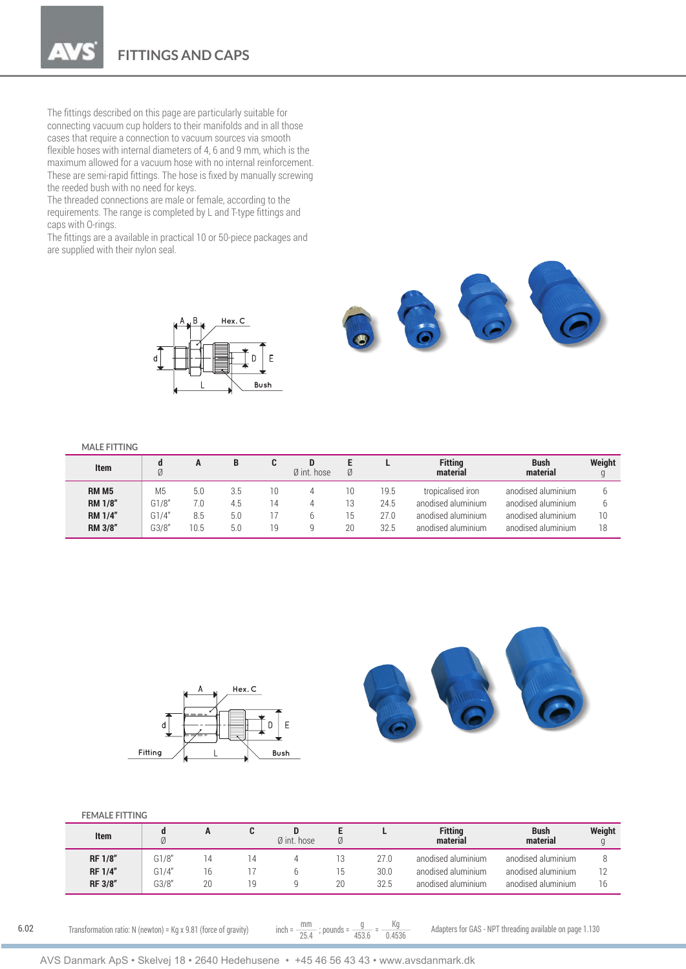**FITTINGS AND CAPS**

The fittings described on this page are particularly suitable for connecting vacuum cup holders to their manifolds and in all those cases that require a connection to vacuum sources via smooth flexible hoses with internal diameters of 4, 6 and 9 mm, which is the maximum allowed for a vacuum hose with no internal reinforcement. These are semi-rapid fittings. The hose is fixed by manually screwing the reeded bush with no need for keys.

The threaded connections are male or female, according to the requirements. The range is completed by L and T-type fittings and caps with O-rings.

The fittings are a available in practical 10 or 50-piece packages and are supplied with their nylon seal.



## **MALE FITTING**

| <b>Item</b>    | d<br>Ø         |      | в   |    | $\emptyset$ int. hose | Ø  |      | <b>Fitting</b><br>material | <b>Bush</b><br>material | Weight<br>g |
|----------------|----------------|------|-----|----|-----------------------|----|------|----------------------------|-------------------------|-------------|
| <b>RM M5</b>   | M <sub>5</sub> | 5.0  | 3.5 | 10 |                       | 10 | 19.5 | tropicalised iron          | anodised aluminium      |             |
| <b>RM 1/8"</b> | G1/8''         | 7.0  | 4.5 | 14 |                       | 13 | 24.5 | anodised aluminium         | anodised aluminium      | b           |
| <b>RM 1/4"</b> | G1/4''         | 8.5  | 5.0 |    |                       | 15 | 27.0 | anodised aluminium         | anodised aluminium      | 10          |
| <b>RM 3/8"</b> | G3/8''         | 10.5 | 5.0 | 19 |                       | 20 | 32.5 | anodised aluminium         | anodised aluminium      | 18          |



## **FEMALE FITTING**

| <b>Item</b>    |       |  | $\emptyset$ int. hose |      | <b>Fitting</b><br>material | <b>Bush</b><br>material | Weight |
|----------------|-------|--|-----------------------|------|----------------------------|-------------------------|--------|
| <b>RF 1/8"</b> | G1/8" |  |                       | 27.0 | anodised aluminium         | anodised aluminium      |        |
| <b>RF 1/4"</b> | G1/4" |  |                       | 30.0 | anodised aluminium         | anodised aluminium      |        |
| RF 3/8"        | G3/8" |  |                       | 32.5 | anodised aluminium         | anodised aluminium      | 16     |

6.02

Transformation ratio: N (newton) = Kg x 9.81 (force of gravity) inch =  $\frac{mm}{25.4}$ ; pounds =  $\frac{g}{453.6}$  =  $\frac{Kg}{0.4536}$  Adapters for GAS - NPT threading available on page 1.130